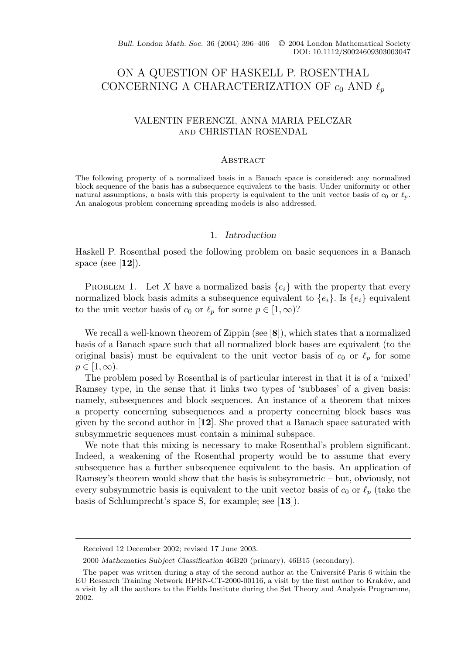Bull. London Math. Soc. 36 (2004) 396-406 © 2004 London Mathematical Society DOI: 10.1112/S0024609303003047

# ON A QUESTION OF HASKELL P. ROSENTHAL CONCERNING A CHARACTERIZATION OF  $c_0$  AND  $\ell_p$

# VALENTIN FERENCZI, ANNA MARIA PELCZAR and CHRISTIAN ROSENDAL

#### **ABSTRACT**

The following property of a normalized basis in a Banach space is considered: any normalized block sequence of the basis has a subsequence equivalent to the basis. Under uniformity or other natural assumptions, a basis with this property is equivalent to the unit vector basis of  $c_0$  or  $\ell_p$ . An analogous problem concerning spreading models is also addressed.

## 1. *Introduction*

Haskell P. Rosenthal posed the following problem on basic sequences in a Banach space (see [**12**]).

PROBLEM 1. Let X have a normalized basis  $\{e_i\}$  with the property that every normalized block basis admits a subsequence equivalent to  ${e_i}$ . Is  ${e_i}$  equivalent to the unit vector basis of  $c_0$  or  $\ell_p$  for some  $p \in [1,\infty)$ ?

We recall a well-known theorem of Zippin (see [**8**]), which states that a normalized basis of a Banach space such that all normalized block bases are equivalent (to the original basis) must be equivalent to the unit vector basis of  $c_0$  or  $\ell_p$  for some  $p \in [1,\infty).$ 

The problem posed by Rosenthal is of particular interest in that it is of a 'mixed' Ramsey type, in the sense that it links two types of 'subbases' of a given basis: namely, subsequences and block sequences. An instance of a theorem that mixes a property concerning subsequences and a property concerning block bases was given by the second author in [**12**]. She proved that a Banach space saturated with subsymmetric sequences must contain a minimal subspace.

We note that this mixing is necessary to make Rosenthal's problem significant. Indeed, a weakening of the Rosenthal property would be to assume that every subsequence has a further subsequence equivalent to the basis. An application of Ramsey's theorem would show that the basis is subsymmetric – but, obviously, not every subsymmetric basis is equivalent to the unit vector basis of  $c_0$  or  $\ell_p$  (take the basis of Schlumprecht's space S, for example; see [**13**]).

Received 12 December 2002; revised 17 June 2003.

<sup>2000</sup> *Mathematics Subject Classification* 46B20 (primary), 46B15 (secondary).

The paper was written during a stay of the second author at the Université Paris 6 within the EU Research Training Network HPRN-CT-2000-00116, a visit by the first author to Kraków, and a visit by all the authors to the Fields Institute during the Set Theory and Analysis Programme, 2002.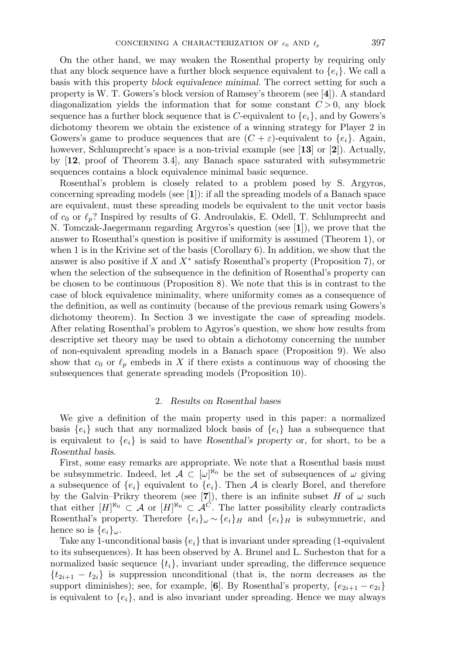On the other hand, we may weaken the Rosenthal property by requiring only that any block sequence have a further block sequence equivalent to  $\{e_i\}$ . We call a basis with this property *block equivalence minimal*. The correct setting for such a property is W. T. Gowers's block version of Ramsey's theorem (see [**4**]). A standard diagonalization yields the information that for some constant  $C > 0$ , any block sequence has a further block sequence that is C-equivalent to  ${e_i}$ , and by Gowers's dichotomy theorem we obtain the existence of a winning strategy for Player 2 in Gowers's game to produce sequences that are  $(C + \varepsilon)$ -equivalent to  $\{e_i\}$ . Again, however, Schlumprecht's space is a non-trivial example (see [**13**] or [**2**]). Actually, by [**12**, proof of Theorem 3.4], any Banach space saturated with subsymmetric sequences contains a block equivalence minimal basic sequence.

Rosenthal's problem is closely related to a problem posed by S. Argyros, concerning spreading models (see [**1**]): if all the spreading models of a Banach space are equivalent, must these spreading models be equivalent to the unit vector basis of  $c_0$  or  $\ell_p$ ? Inspired by results of G. Androulakis, E. Odell, T. Schlumprecht and N. Tomczak-Jaegermann regarding Argyros's question (see [**1**]), we prove that the answer to Rosenthal's question is positive if uniformity is assumed (Theorem 1), or when 1 is in the Krivine set of the basis (Corollary 6). In addition, we show that the answer is also positive if X and  $X^*$  satisfy Rosenthal's property (Proposition 7), or when the selection of the subsequence in the definition of Rosenthal's property can be chosen to be continuous (Proposition 8). We note that this is in contrast to the case of block equivalence minimality, where uniformity comes as a consequence of the definition, as well as continuity (because of the previous remark using Gowers's dichotomy theorem). In Section 3 we investigate the case of spreading models. After relating Rosenthal's problem to Agyros's question, we show how results from descriptive set theory may be used to obtain a dichotomy concerning the number of non-equivalent spreading models in a Banach space (Proposition 9). We also show that  $c_0$  or  $\ell_p$  embeds in X if there exists a continuous way of choosing the subsequences that generate spreading models (Proposition 10).

## 2. *Results on Rosenthal bases*

We give a definition of the main property used in this paper: a normalized basis  ${e_i}$  such that any normalized block basis of  ${e_i}$  has a subsequence that is equivalent to  $\{e_i\}$  is said to have *Rosenthal's property* or, for short, to be a *Rosenthal basis*.

First, some easy remarks are appropriate. We note that a Rosenthal basis must be subsymmetric. Indeed, let  $\mathcal{A} \subset [\omega]^{\aleph_0}$  be the set of subsequences of  $\omega$  giving a subsequence of  $\{e_i\}$  equivalent to  $\{e_i\}$ . Then A is clearly Borel, and therefore by the Galvin–Prikry theorem (see [7]), there is an infinite subset H of  $\omega$  such that either  $[H]^{\aleph_0} \subset \mathcal{A}$  or  $[H]^{\aleph_0} \subset \mathcal{A}^C$ . The latter possibility clearly contradicts Rosenthal's property. Therefore  $\{e_i\}_\omega \sim \{e_i\}_H$  and  $\{e_i\}_H$  is subsymmetric, and hence so is  $\{e_i\}_{\omega}$ .

Take any 1-unconditional basis  $\{e_i\}$  that is invariant under spreading (1-equivalent to its subsequences). It has been observed by A. Brunel and L. Sucheston that for a normalized basic sequence  $\{t_i\}$ , invariant under spreading, the difference sequence  ${t_{2i+1} - t_{2i}}$  is suppression unconditional (that is, the norm decreases as the support diminishes); see, for example, [6]. By Rosenthal's property,  $\{e_{2i+1} - e_{2i}\}$ is equivalent to  ${e_i}$ , and is also invariant under spreading. Hence we may always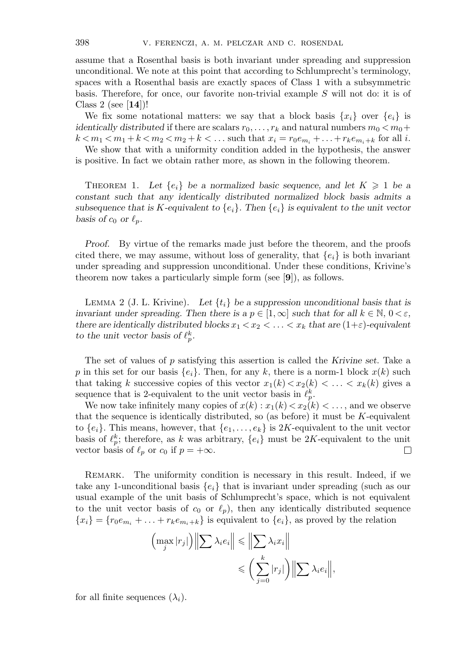assume that a Rosenthal basis is both invariant under spreading and suppression unconditional. We note at this point that according to Schlumprecht's terminology, spaces with a Rosenthal basis are exactly spaces of Class 1 with a subsymmetric basis. Therefore, for once, our favorite non-trivial example S will not do: it is of Class 2 (see [**14**])!

We fix some notational matters: we say that a block basis  $\{x_i\}$  over  $\{e_i\}$  is *identically distributed* if there are scalars  $r_0, \ldots, r_k$  and natural numbers  $m_0 < m_0 +$  $k < m_1 < m_1 + k < m_2 < m_2 + k < \dots$  such that  $x_i = r_0 e_{m_i} + \dots + r_k e_{m_i + k}$  for all *i*.

We show that with a uniformity condition added in the hypothesis, the answer is positive. In fact we obtain rather more, as shown in the following theorem.

THEOREM 1. Let  $\{e_i\}$  be a normalized basic sequence, and let  $K \geq 1$  be a *constant such that any identically distributed normalized block basis admits a* subsequence that is K-equivalent to  ${e_i}$ . Then  ${e_i}$  is equivalent to the unit vector *basis of*  $c_0$  *or*  $\ell_p$ *.* 

*Proof.* By virtue of the remarks made just before the theorem, and the proofs cited there, we may assume, without loss of generality, that  $\{e_i\}$  is both invariant under spreading and suppression unconditional. Under these conditions, Krivine's theorem now takes a particularly simple form (see [**9**]), as follows.

LEMMA 2 (J. L. Krivine). Let  $\{t_i\}$  be a suppression unconditional basis that is *invariant under spreading. Then there is a*  $p \in [1,\infty]$  *such that for all*  $k \in \mathbb{N}$ ,  $0 < \varepsilon$ *, there are identically distributed blocks*  $x_1 < x_2 < \ldots < x_k$  *that are*  $(1+\varepsilon)$ *-equivalent to the unit vector basis of*  $\ell_p^k$ .

The set of values of p satisfying this assertion is called the *Krivine set*. Take a p in this set for our basis  $\{e_i\}$ . Then, for any k, there is a norm-1 block  $x(k)$  such that taking k successive copies of this vector  $x_1(k) < x_2(k) < \ldots < x_k(k)$  gives a sequence that is 2-equivalent to the unit vector basis in  $\ell_p^k$ .

We now take infinitely many copies of  $x(k): x_1(k) < x_2(k) < \ldots$ , and we observe that the sequence is identically distributed, so (as before) it must be  $K$ -equivalent to  $\{e_i\}$ . This means, however, that  $\{e_1,\ldots,e_k\}$  is 2K-equivalent to the unit vector basis of  $\ell_p^k$ ; therefore, as k was arbitrary,  $\{e_i\}$  must be 2K-equivalent to the unit vector basis of  $\ell_p$  or  $c_0$  if  $p = +\infty$ . □

REMARK. The uniformity condition is necessary in this result. Indeed, if we take any 1-unconditional basis  $\{e_i\}$  that is invariant under spreading (such as our usual example of the unit basis of Schlumprecht's space, which is not equivalent to the unit vector basis of  $c_0$  or  $\ell_p$ ), then any identically distributed sequence  ${x_i} = {r_0e_{m_i} + ... + r_ke_{m_i+k}}$  is equivalent to  ${e_i}$ , as proved by the relation

$$
\left(\max_{j} |r_{j}|\right) \left\| \sum \lambda_{i} e_{i} \right\| \leq \left\| \sum \lambda_{i} x_{i} \right\|
$$

$$
\leq \left(\sum_{j=0}^{k} |r_{j}|\right) \left\| \sum \lambda_{i} e_{i} \right\|,
$$

for all finite sequences  $(\lambda_i)$ .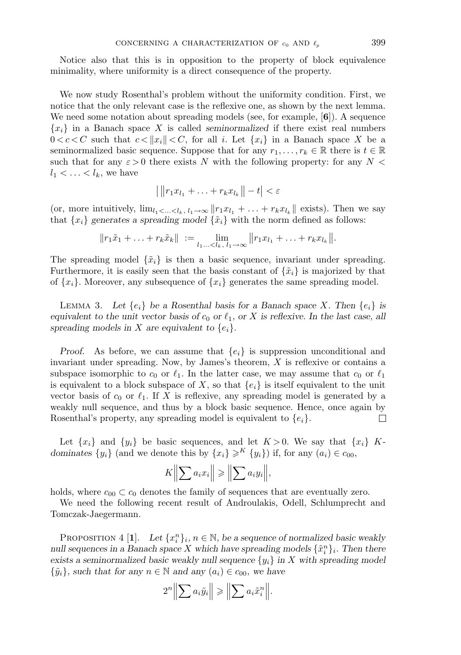Notice also that this is in opposition to the property of block equivalence minimality, where uniformity is a direct consequence of the property.

We now study Rosenthal's problem without the uniformity condition. First, we notice that the only relevant case is the reflexive one, as shown by the next lemma. We need some notation about spreading models (see, for example, [**6**]). A sequence  ${x_i}$  in a Banach space X is called *seminormalized* if there exist real numbers  $0 < c < C$  such that  $c < ||x_i|| < C$ , for all i. Let  $\{x_i\}$  in a Banach space X be a seminormalized basic sequence. Suppose that for any  $r_1,\ldots,r_k \in \mathbb{R}$  there is  $t \in \mathbb{R}$ such that for any  $\varepsilon > 0$  there exists N with the following property: for any N <  $l_1 < \ldots < l_k$ , we have

$$
\left| \|r_1x_{l_1} + \ldots + r_kx_{l_k}\right\| - t \right| < \varepsilon
$$

(or, more intuitively,  $\lim_{l_1 < ... < l_k, l_1 \to \infty} ||r_1x_{l_1} + ... + r_kx_{l_k}||$  exists). Then we say that  $\{x_i\}$  generates a spreading model  $\{\tilde{x}_i\}$  with the norm defined as follows:

$$
||r_1\tilde{x}_1 + \ldots + r_k\tilde{x}_k|| := \lim_{l_1, \ldots < l_k, l_1 \to \infty} ||r_1x_{l_1} + \ldots + r_kx_{l_k}||.
$$

The spreading model  $\{\tilde{x}_i\}$  is then a basic sequence, invariant under spreading. Furthermore, it is easily seen that the basis constant of  $\{\tilde{x}_i\}$  is majorized by that of  $\{x_i\}$ . Moreover, any subsequence of  $\{x_i\}$  generates the same spreading model.

LEMMA 3. Let  $\{e_i\}$  be a Rosenthal basis for a Banach space X. Then  $\{e_i\}$  is *equivalent to the unit vector basis of*  $c_0$  *or*  $\ell_1$ *, or* X *is reflexive. In the last case, all* spreading models in X are equivalent to  $\{e_i\}$ .

*Proof.* As before, we can assume that  $\{e_i\}$  is suppression unconditional and invariant under spreading. Now, by James's theorem, X is reflexive or contains a subspace isomorphic to  $c_0$  or  $\ell_1$ . In the latter case, we may assume that  $c_0$  or  $\ell_1$ is equivalent to a block subspace of X, so that  $\{e_i\}$  is itself equivalent to the unit vector basis of  $c_0$  or  $\ell_1$ . If X is reflexive, any spreading model is generated by a weakly null sequence, and thus by a block basic sequence. Hence, once again by Rosenthal's property, any spreading model is equivalent to  $\{e_i\}$ .  $\Box$ 

Let  $\{x_i\}$  and  $\{y_i\}$  be basic sequences, and let  $K > 0$ . We say that  $\{x_i\}$  K*dominates*  $\{y_i\}$  (and we denote this by  $\{x_i\} \geq K \{y_i\}$ ) if, for any  $(a_i) \in c_{00}$ ,

$$
K \Big\| \sum a_i x_i \Big\| \ge \Big\| \sum a_i y_i \Big\|,
$$

holds, where  $c_{00} \subset c_0$  denotes the family of sequences that are eventually zero.

We need the following recent result of Androulakis, Odell, Schlumprecht and Tomczak-Jaegermann.

PROPOSITION 4 [1]. *Let*  $\{x_i^n\}_i$ ,  $n \in \mathbb{N}$ , be a sequence of normalized basic weakly *null sequences in a Banach space* X which have spreading models  $\{\tilde{x}_i^n\}_i$ . Then there *exists a seminormalized basic weakly null sequence*  ${y_i}$  *in* X with spreading model  $\{\tilde{y}_i\}$ *, such that for any*  $n \in \mathbb{N}$  and any  $(a_i) \in c_{00}$ *, we have* 

$$
2^{n}\left\|\sum a_{i}\tilde{y}_{i}\right\|\geq\left\|\sum a_{i}\tilde{x}_{i}^{n}\right\|.
$$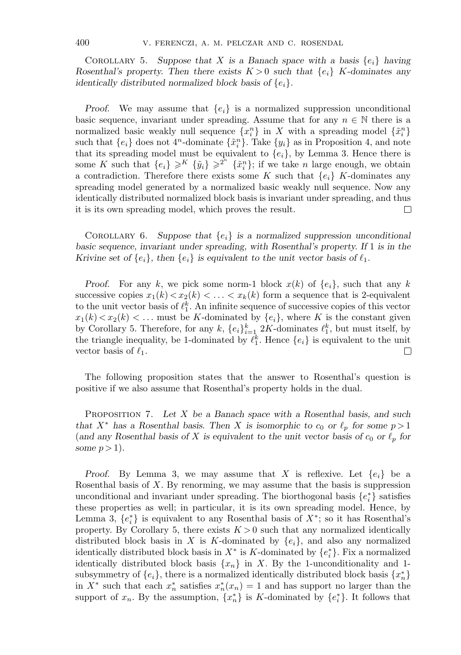COROLLARY 5. Suppose that X is a Banach space with a basis  $\{e_i\}$  having *Rosenthal's property. Then there exists*  $K > 0$  *such that*  $\{e_i\}$  K-dominates any *identically distributed normalized block basis of*  $\{e_i\}$ *.* 

*Proof.* We may assume that  ${e_i}$  is a normalized suppression unconditional basic sequence, invariant under spreading. Assume that for any  $n \in \mathbb{N}$  there is a normalized basic weakly null sequence  $\{x_i^n\}$  in X with a spreading model  $\{\tilde{x}_i^n\}$ such that  ${e_i}$  does not  $4^n$ -dominate  ${\tilde x_i}^n$ . Take  ${y_i}$  as in Proposition 4, and note that its spreading model must be equivalent to  ${e_i}$ , by Lemma 3. Hence there is some K such that  $\{e_i\} \geqslant^{K} \{\tilde{y}_i\} \geqslant^{2^n} \{\tilde{x}_i^n\};$  if we take n large enough, we obtain a contradiction. Therefore there exists some K such that  $\{e_i\}$  K-dominates any spreading model generated by a normalized basic weakly null sequence. Now any identically distributed normalized block basis is invariant under spreading, and thus it is its own spreading model, which proves the result.  $\Box$ 

COROLLARY 6. Suppose that  ${e_i}$  is a normalized suppression unconditional *basic sequence, invariant under spreading, with Rosenthal's property. If* 1 *is in the Krivine set of*  $\{e_i\}$ *, then*  $\{e_i\}$  *is equivalent to the unit vector basis of*  $\ell_1$ *.* 

*Proof.* For any k, we pick some norm-1 block  $x(k)$  of  $\{e_i\}$ , such that any k successive copies  $x_1(k) < x_2(k) < \ldots < x_k(k)$  form a sequence that is 2-equivalent to the unit vector basis of  $\ell_1^k$ . An infinite sequence of successive copies of this vector  $x_1(k) < x_2(k) < \ldots$  must be K-dominated by  $\{e_i\}$ , where K is the constant given by Corollary 5. Therefore, for any  $k$ ,  $\{e_i\}_{i=1}^k$  2K-dominates  $\ell_1^k$ , but must itself, by the triangle inequality, be 1-dominated by  $\ell_1^k$ . Hence  $\{e_i\}$  is equivalent to the unit vector basis of  $\ell_1$ . П

The following proposition states that the answer to Rosenthal's question is positive if we also assume that Rosenthal's property holds in the dual.

Proposition 7. *Let* X *be a Banach space with a Rosenthal basis, and such that*  $X^*$  *has a Rosenthal basis. Then* X *is isomorphic to*  $c_0$  *or*  $\ell_p$  *for some*  $p > 1$ (and any Rosenthal basis of X is equivalent to the unit vector basis of  $c_0$  or  $\ell_p$  for *some*  $p > 1$ *)*.

*Proof.* By Lemma 3, we may assume that X is reflexive. Let  $\{e_i\}$  be a Rosenthal basis of  $X$ . By renorming, we may assume that the basis is suppression unconditional and invariant under spreading. The biorthogonal basis  $\{e_i^*\}$  satisfies these properties as well; in particular, it is its own spreading model. Hence, by Lemma 3,  $\{e_i^*\}$  is equivalent to any Rosenthal basis of  $X^*$ ; so it has Rosenthal's property. By Corollary 5, there exists  $K > 0$  such that any normalized identically distributed block basis in X is K-dominated by  $\{e_i\}$ , and also any normalized identically distributed block basis in  $X^*$  is K-dominated by  $\{e_i^*\}$ . Fix a normalized identically distributed block basis  $\{x_n\}$  in X. By the 1-unconditionality and 1subsymmetry of  $\{e_i\}$ , there is a normalized identically distributed block basis  $\{x_n^*\}$ in  $X^*$  such that each  $x_n^*$  satisfies  $x_n^*(x_n) = 1$  and has support no larger than the support of  $x_n$ . By the assumption,  $\{x_n^*\}$  is K-dominated by  $\{e_i^*\}$ . It follows that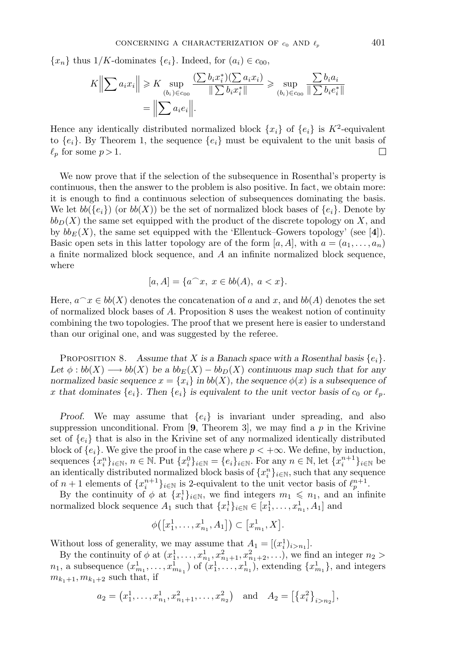${x_n}$  thus  $1/K$ -dominates  ${e_i}$ . Indeed, for  $(a_i) \in c_{00}$ ,

$$
K \Big\| \sum a_i x_i \Big\| \geq K \sup_{(b_i) \in c_{00}} \frac{\left( \sum b_i x_i^* \right) \left( \sum a_i x_i \right)}{\|\sum b_i x_i^* \|} \geq \sup_{(b_i) \in c_{00}} \frac{\sum b_i a_i}{\|\sum b_i e_i^* \|} = \Big\| \sum a_i e_i \Big\|.
$$

Hence any identically distributed normalized block  $\{x_i\}$  of  $\{e_i\}$  is  $K^2$ -equivalent to  $\{e_i\}$ . By Theorem 1, the sequence  $\{e_i\}$  must be equivalent to the unit basis of  $\ell_n$  for some  $p > 1$ .  $\Box$ 

We now prove that if the selection of the subsequence in Rosenthal's property is continuous, then the answer to the problem is also positive. In fact, we obtain more: it is enough to find a continuous selection of subsequences dominating the basis. We let  $bb{S}(e_i)$  (or  $bb(X)$ ) be the set of normalized block bases of  ${e_i}$ . Denote by  $bb<sub>D</sub>(X)$  the same set equipped with the product of the discrete topology on X, and by  $bb<sub>E</sub>(X)$ , the same set equipped with the 'Ellentuck–Gowers topology' (see [4]). Basic open sets in this latter topology are of the form  $[a, A]$ , with  $a = (a_1, \ldots, a_n)$ a finite normalized block sequence, and  $A$  an infinite normalized block sequence, where

$$
[a, A] = \{a^{\frown} x, \ x \in bb(A), \ a < x\}.
$$

Here,  $a^x \in bb(X)$  denotes the concatenation of a and x, and  $bb(A)$  denotes the set of normalized block bases of A. Proposition 8 uses the weakest notion of continuity combining the two topologies. The proof that we present here is easier to understand than our original one, and was suggested by the referee.

PROPOSITION 8. Assume that X is a Banach space with a Rosenthal basis  $\{e_i\}$ . Let  $\phi : bb(X) \longrightarrow bb(X)$  be a  $bb_E(X) - bb_D(X)$  continuous map such that for any *normalized basic sequence*  $x = \{x_i\}$  *in*  $bb(X)$ *, the sequence*  $\phi(x)$  *is a subsequence of* x that dominates  $\{e_i\}$ . Then  $\{e_i\}$  is equivalent to the unit vector basis of  $c_0$  or  $\ell_p$ .

*Proof.* We may assume that  ${e_i}$  is invariant under spreading, and also suppression unconditional. From  $[9,$  Theorem 3, we may find a p in the Krivine set of  $\{e_i\}$  that is also in the Krivine set of any normalized identically distributed block of  ${e_i}$ . We give the proof in the case where  $p < +\infty$ . We define, by induction, sequences  $\{x_i^n\}_{i\in\mathbb{N}}$ ,  $n \in \mathbb{N}$ . Put  $\{x_i^0\}_{i\in\mathbb{N}} = \{e_i\}_{i\in\mathbb{N}}$ . For any  $n \in \mathbb{N}$ , let  $\{x_i^{n+1}\}_{i\in\mathbb{N}}$  be an identically distributed normalized block basis of  $\{x_i^n\}_{i\in\mathbb{N}}$ , such that any sequence of  $n+1$  elements of  $\{x_i^{n+1}\}_{i\in\mathbb{N}}$  is 2-equivalent to the unit vector basis of  $\ell_p^{n+1}$ .

By the continuity of  $\phi$  at  $\{x_i^1\}_{i\in\mathbb{N}}$ , we find integers  $m_1 \leqslant n_1$ , and an infinite normalized block sequence  $A_1$  such that  $\{x_i^1\}_{i\in\mathbb{N}} \in [x_1^1, \ldots, x_{n_1}^1, A_1]$  and

$$
\phi([x_1^1, \ldots, x_{n_1}^1, A_1]) \subset [x_{m_1}^1, X].
$$

Without loss of generality, we may assume that  $A_1 = [(x_i^1)_{i>n_1}]$ .

By the continuity of  $\phi$  at  $(x_1^1, \ldots, x_{n_1}^1, x_{n_1+1}^2, x_{n_1+2}^2, \ldots)$ , we find an integer  $n_2$  $n_1$ , a subsequence  $(x_{m_1}^1, \ldots, x_{m_{k_1}}^1)$  of  $(x_1^1, \ldots, x_{n_1}^1)$ , extending  $\{x_{m_1}^1\}$ , and integers  $m_{k_1+1}, m_{k_1+2}$  such that, if

$$
a_2 = (x_1^1, \ldots, x_{n_1}^1, x_{n_1+1}^2, \ldots, x_{n_2}^2)
$$
 and  $A_2 = [\{x_i^2\}_{i>n_2}],$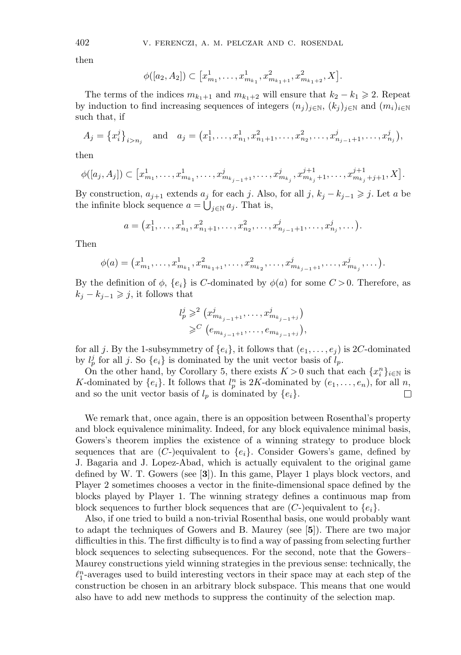then

$$
\phi([a_2, A_2]) \subset [x_{m_1}^1, \ldots, x_{m_{k_1}}^1, x_{m_{k_1+1}}^2, x_{m_{k_1+2}}^2, X].
$$

The terms of the indices  $m_{k_1+1}$  and  $m_{k_1+2}$  will ensure that  $k_2 - k_1 \geq 2$ . Repeat by induction to find increasing sequences of integers  $(n_j)_{j\in\mathbb{N}}$ ,  $(k_j)_{j\in\mathbb{N}}$  and  $(m_i)_{i\in\mathbb{N}}$ such that, if

$$
A_j = \left\{ x_i^j \right\}_{i > n_j} \quad \text{and} \quad a_j = \left( x_1^1, \dots, x_{n_1}^1, x_{n_1+1}^2, \dots, x_{n_2}^2, \dots, x_{n_{j-1}+1}^j, \dots, x_{n_j}^j \right),
$$

then

$$
\phi([a_j, A_j]) \subset [x_{m_1}^1, \ldots, x_{m_{k_1}}^1, \ldots, x_{m_{k_{j-1}+1}}^i, \ldots, x_{m_{k_j}}^i, x_{m_{k_j}+1}^{j+1}, \ldots, x_{m_{k_j}+j+1}^{j+1}, X].
$$

By construction,  $a_{j+1}$  extends  $a_j$  for each j. Also, for all j,  $k_j - k_{j-1} \geq j$ . Let a be the infinite block sequence  $a = \bigcup_{j \in \mathbb{N}} a_j$ . That is,

$$
a = (x_1^1, \dots, x_{n_1}^1, x_{n_1+1}^2, \dots, x_{n_2}^2, \dots, x_{n_{j-1}+1}^j, \dots, x_{n_j}^j, \dots).
$$

Then

$$
\phi(a) = (x_{m_1}^1, \dots, x_{m_{k_1}}^1, x_{m_{k_1+1}}^2, \dots, x_{m_{k_2}}^2, \dots, x_{m_{k_{j-1}+1}}^j, \dots, x_{m_{k_j}}^j, \dots).
$$

By the definition of  $\phi$ ,  $\{e_i\}$  is C-dominated by  $\phi(a)$  for some  $C > 0$ . Therefore, as  $k_j - k_{j-1} \geqslant j$ , it follows that

$$
l_p^j \geqslant^2 (x_{m_{k_{j-1}+1}}^j, \ldots, x_{m_{k_{j-1}+j}}^j)
$$
  

$$
\geqslant^C (e_{m_{k_{j-1}+1}}, \ldots, e_{m_{k_{j-1}+j}}),
$$

for all j. By the 1-subsymmetry of  $\{e_i\}$ , it follows that  $(e_1,\ldots,e_j)$  is 2C-dominated by  $l_p^j$  for all j. So  $\{e_i\}$  is dominated by the unit vector basis of  $l_p$ .

On the other hand, by Corollary 5, there exists  $K > 0$  such that each  $\{x_i^n\}_{i \in \mathbb{N}}$  is K-dominated by  $\{e_i\}$ . It follows that  $l_p^n$  is 2K-dominated by  $(e_1, \ldots, e_n)$ , for all n, and so the unit vector basis of  $l_p$  is dominated by  $\{e_i\}$ .  $\Box$ 

We remark that, once again, there is an opposition between Rosenthal's property and block equivalence minimality. Indeed, for any block equivalence minimal basis, Gowers's theorem implies the existence of a winning strategy to produce block sequences that are  $(C-)$ equivalent to  $\{e_i\}$ . Consider Gowers's game, defined by J. Bagaria and J. Lopez-Abad, which is actually equivalent to the original game defined by W. T. Gowers (see [**3**]). In this game, Player 1 plays block vectors, and Player 2 sometimes chooses a vector in the finite-dimensional space defined by the blocks played by Player 1. The winning strategy defines a continuous map from block sequences to further block sequences that are  $(C-)$  equivalent to  $\{e_i\}$ .

Also, if one tried to build a non-trivial Rosenthal basis, one would probably want to adapt the techniques of Gowers and B. Maurey (see [**5**]). There are two major difficulties in this. The first difficulty is to find a way of passing from selecting further block sequences to selecting subsequences. For the second, note that the Gowers– Maurey constructions yield winning strategies in the previous sense: technically, the  $\ell_1^n$ -averages used to build interesting vectors in their space may at each step of the construction be chosen in an arbitrary block subspace. This means that one would also have to add new methods to suppress the continuity of the selection map.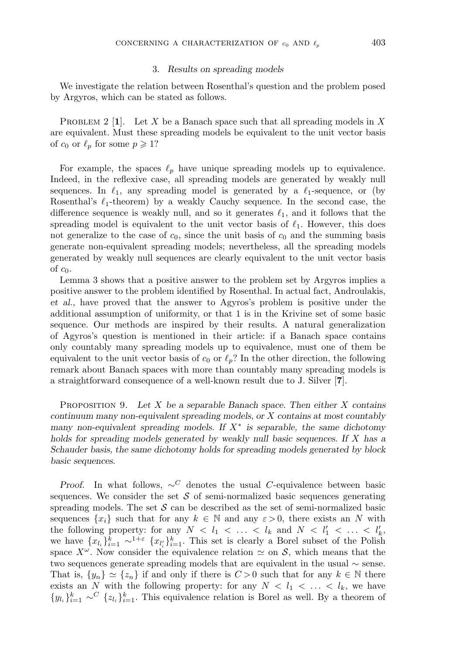#### 3. *Results on spreading models*

We investigate the relation between Rosenthal's question and the problem posed by Argyros, which can be stated as follows.

**PROBLEM 2 [1].** Let X be a Banach space such that all spreading models in X are equivalent. Must these spreading models be equivalent to the unit vector basis of  $c_0$  or  $\ell_p$  for some  $p \geqslant 1$ ?

For example, the spaces  $\ell_p$  have unique spreading models up to equivalence. Indeed, in the reflexive case, all spreading models are generated by weakly null sequences. In  $\ell_1$ , any spreading model is generated by a  $\ell_1$ -sequence, or (by Rosenthal's  $\ell_1$ -theorem) by a weakly Cauchy sequence. In the second case, the difference sequence is weakly null, and so it generates  $\ell_1$ , and it follows that the spreading model is equivalent to the unit vector basis of  $\ell_1$ . However, this does not generalize to the case of  $c_0$ , since the unit basis of  $c_0$  and the summing basis generate non-equivalent spreading models; nevertheless, all the spreading models generated by weakly null sequences are clearly equivalent to the unit vector basis of  $c_0$ .

Lemma 3 shows that a positive answer to the problem set by Argyros implies a positive answer to the problem identified by Rosenthal. In actual fact, Androulakis, *et al*., have proved that the answer to Agyros's problem is positive under the additional assumption of uniformity, or that 1 is in the Krivine set of some basic sequence. Our methods are inspired by their results. A natural generalization of Agyros's question is mentioned in their article: if a Banach space contains only countably many spreading models up to equivalence, must one of them be equivalent to the unit vector basis of  $c_0$  or  $\ell_p$ ? In the other direction, the following remark about Banach spaces with more than countably many spreading models is a straightforward consequence of a well-known result due to J. Silver [**7**].

Proposition 9. *Let* X *be a separable Banach space. Then either* X *contains continuum many non-equivalent spreading models, or* X *contains at most countably many non-equivalent spreading models. If* X<sup>∗</sup> *is separable, the same dichotomy holds for spreading models generated by weakly null basic sequences. If* X *has a Schauder basis, the same dichotomy holds for spreading models generated by block basic sequences.*

*Proof.* In what follows,  $\sim^C$  denotes the usual C-equivalence between basic sequences. We consider the set  $\mathcal S$  of semi-normalized basic sequences generating spreading models. The set  $S$  can be described as the set of semi-normalized basic sequences  $\{x_i\}$  such that for any  $k \in \mathbb{N}$  and any  $\varepsilon > 0$ , there exists an N with the following property: for any  $N < l_1 < \ldots < l_k$  and  $N < l'_1 < \ldots < l'_k$ , we have  $\{x_{l_i}\}_{i=1}^k \sim^{1+\varepsilon} \{x_{l'_i}\}_{i=1}^k$ . This set is clearly a Borel subset of the Polish space  $X^{\omega}$ . Now consider the equivalence relation  $\simeq$  on S, which means that the two sequences generate spreading models that are equivalent in the usual ∼ sense. That is,  $\{y_n\} \simeq \{z_n\}$  if and only if there is  $C > 0$  such that for any  $k \in \mathbb{N}$  there exists an N with the following property: for any  $N < l_1 < \ldots < l_k$ , we have  ${y_{l_i}}_{i=1}^k \sim^C \{z_{l_i}\}_{i=1}^k$ . This equivalence relation is Borel as well. By a theorem of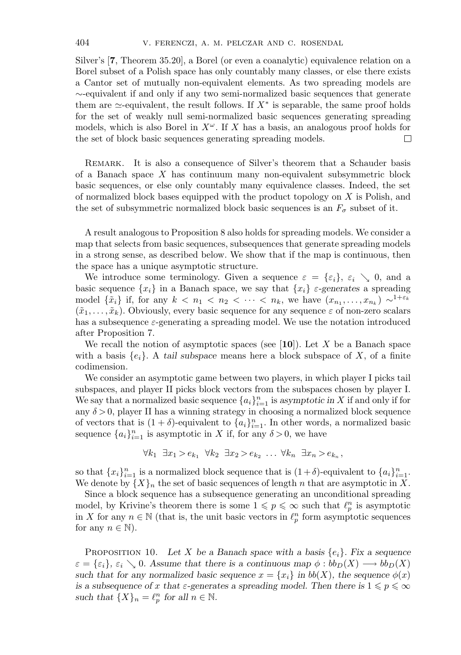Silver's [**7**, Theorem 35.20], a Borel (or even a coanalytic) equivalence relation on a Borel subset of a Polish space has only countably many classes, or else there exists a Cantor set of mutually non-equivalent elements. As two spreading models are ∼-equivalent if and only if any two semi-normalized basic sequences that generate them are  $\simeq$ -equivalent, the result follows. If  $X^*$  is separable, the same proof holds for the set of weakly null semi-normalized basic sequences generating spreading models, which is also Borel in  $X^{\omega}$ . If X has a basis, an analogous proof holds for the set of block basic sequences generating spreading models. □

Remark. It is also a consequence of Silver's theorem that a Schauder basis of a Banach space X has continuum many non-equivalent subsymmetric block basic sequences, or else only countably many equivalence classes. Indeed, the set of normalized block bases equipped with the product topology on  $X$  is Polish, and the set of subsymmetric normalized block basic sequences is an  $F_{\sigma}$  subset of it.

A result analogous to Proposition 8 also holds for spreading models. We consider a map that selects from basic sequences, subsequences that generate spreading models in a strong sense, as described below. We show that if the map is continuous, then the space has a unique asymptotic structure.

We introduce some terminology. Given a sequence  $\varepsilon = {\varepsilon_i}, \varepsilon_i \searrow 0$ , and a basic sequence  $\{x_i\}$  in a Banach space, we say that  $\{x_i\}$  *ε*-generates a spreading model  $\{\tilde{x}_i\}$  if, for any  $k < n_1 < n_2 < \cdots < n_k$ , we have  $(x_{n_1},...,x_{n_k}) \sim^{1+\varepsilon_k}$  $(\tilde{x}_1,\ldots,\tilde{x}_k)$ . Obviously, every basic sequence for any sequence  $\varepsilon$  of non-zero scalars has a subsequence  $\varepsilon$ -generating a spreading model. We use the notation introduced after Proposition 7.

We recall the notion of asymptotic spaces (see [**10**]). Let X be a Banach space with a basis  $\{e_i\}$ . A *tail subspace* means here a block subspace of X, of a finite codimension.

We consider an asymptotic game between two players, in which player I picks tail subspaces, and player II picks block vectors from the subspaces chosen by player I. We say that a normalized basic sequence  ${a_i}_{i=1}^n$  is *asymptotic in* X if and only if for any  $\delta > 0$ , player II has a winning strategy in choosing a normalized block sequence of vectors that is  $(1 + \delta)$ -equivalent to  $\{a_i\}_{i=1}^n$ . In other words, a normalized basic sequence  $\{a_i\}_{i=1}^n$  is asymptotic in X if, for any  $\delta > 0$ , we have

$$
\forall k_1 \ \exists x_1 > e_{k_1} \ \forall k_2 \ \exists x_2 > e_{k_2} \ \dots \ \forall k_n \ \exists x_n > e_{k_n},
$$

so that  ${x_i}_{i=1}^n$  is a normalized block sequence that is  $(1+\delta)$ -equivalent to  ${a_i}_{i=1}^n$ . We denote by  $\{X\}_n$  the set of basic sequences of length n that are asymptotic in X.

Since a block sequence has a subsequence generating an unconditional spreading model, by Krivine's theorem there is some  $1 \leqslant p \leqslant \infty$  such that  $\ell_p^n$  is asymptotic in X for any  $n \in \mathbb{N}$  (that is, the unit basic vectors in  $\ell_p^n$  form asymptotic sequences for any  $n \in \mathbb{N}$ .

PROPOSITION 10. Let X be a Banach space with a basis  $\{e_i\}$ . Fix a sequence  $\varepsilon = {\varepsilon_i}, \varepsilon_i \searrow 0$ . Assume that there is a continuous map  $\phi : bb_D(X) \longrightarrow bb_D(X)$ *such that for any normalized basic sequence*  $x = \{x_i\}$  *in*  $bb(X)$ *, the sequence*  $\phi(x)$ *is a subsequence of* x that  $\varepsilon$ -generates a spreading model. Then there is  $1 \leqslant p \leqslant \infty$ *such that*  $\{X\}_n = \ell_p^n$  *for all*  $n \in \mathbb{N}$ *.*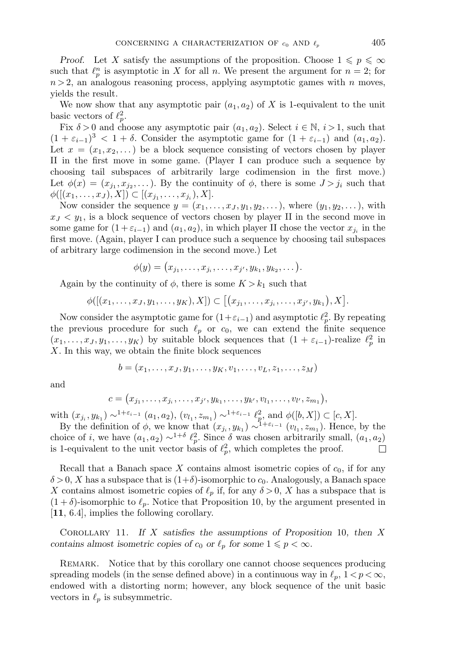*Proof.* Let X satisfy the assumptions of the proposition. Choose  $1 \leqslant p \leqslant \infty$ such that  $\ell_p^n$  is asymptotic in X for all n. We present the argument for  $n = 2$ ; for  $n > 2$ , an analogous reasoning process, applying asymptotic games with n moves, yields the result.

We now show that any asymptotic pair  $(a_1, a_2)$  of X is 1-equivalent to the unit basic vectors of  $\ell_p^2$ .

Fix  $\delta > 0$  and choose any asymptotic pair  $(a_1, a_2)$ . Select  $i \in \mathbb{N}, i > 1$ , such that  $(1 + \varepsilon_{i-1})^3 < 1 + \delta$ . Consider the asymptotic game for  $(1 + \varepsilon_{i-1})$  and  $(a_1, a_2)$ . Let  $x = (x_1, x_2,...)$  be a block sequence consisting of vectors chosen by player II in the first move in some game. (Player I can produce such a sequence by choosing tail subspaces of arbitrarily large codimension in the first move.) Let  $\phi(x)=(x_{j_1}, x_{j_2},...)$ . By the continuity of  $\phi$ , there is some  $J>j_i$  such that  $\phi([(x_1,\ldots,x_J),X]) \subset [(x_{j_1},\ldots,x_{j_i}),X].$ 

Now consider the sequence  $y = (x_1, \ldots, x_J, y_1, y_2, \ldots)$ , where  $(y_1, y_2, \ldots)$ , with  $x_J < y_1$ , is a block sequence of vectors chosen by player II in the second move in some game for  $(1 + \varepsilon_{i-1})$  and  $(a_1, a_2)$ , in which player II chose the vector  $x_{j_i}$  in the first move. (Again, player I can produce such a sequence by choosing tail subspaces of arbitrary large codimension in the second move.) Let

$$
\phi(y) = (x_{j_1}, \ldots, x_{j_i}, \ldots, x_{j'}, y_{k_1}, y_{k_2}, \ldots).
$$

Again by the continuity of  $\phi$ , there is some  $K > k_1$  such that

$$
\phi([(x_1,\ldots,x_J,y_1,\ldots,y_K),X])\subset [(x_{j_1},\ldots,x_{j_i},\ldots,x_{j'},y_{k_1}),X].
$$

Now consider the asymptotic game for  $(1+\varepsilon_{i-1})$  and asymptotic  $\ell_p^2$ . By repeating the previous procedure for such  $\ell_p$  or  $c_0$ , we can extend the finite sequence  $(x_1, \ldots, x_J, y_1, \ldots, y_K)$  by suitable block sequences that  $(1 + \varepsilon_{i-1})$ -realize  $\ell_p^2$  in X. In this way, we obtain the finite block sequences

$$
b=(x_1,\ldots,x_J,y_1,\ldots,y_K,v_1,\ldots,v_L,z_1,\ldots,z_M)
$$

and

$$
c = (x_{j_1}, \ldots, x_{j_i}, \ldots, x_{j'}, y_{k_1}, \ldots, y_{k'}, v_{l_1}, \ldots, v_{l'}, z_{m_1}),
$$

with  $(x_{j_i}, y_{k_1}) \sim^{1+\varepsilon_{i-1}} (a_1, a_2), (v_{l_1}, z_{m_1}) \sim^{1+\varepsilon_{i-1}} \ell_p^2$ , and  $\phi([b, X]) \subset [c, X]$ .

By the definition of  $\phi$ , we know that  $(x_{j_i}, y_{k_1}) \sim^{1+\varepsilon_{i-1}} (v_{l_1}, z_{m_1})$ . Hence, by the choice of *i*, we have  $(a_1, a_2) \sim^{1+\delta} \ell_p^2$ . Since  $\delta$  was chosen arbitrarily small,  $(a_1, a_2)$ is 1-equivalent to the unit vector basis of  $\ell_p^2$ , which completes the proof.  $\Box$ 

Recall that a Banach space X contains almost isometric copies of  $c_0$ , if for any  $\delta > 0$ , X has a subspace that is  $(1+\delta)$ -isomorphic to  $c_0$ . Analogously, a Banach space X contains almost isometric copies of  $\ell_p$  if, for any  $\delta > 0$ , X has a subspace that is  $(1 + \delta)$ -isomorphic to  $\ell_p$ . Notice that Proposition 10, by the argument presented in [**11**, 6.4], implies the following corollary.

Corollary 11. *If* X *satisfies the assumptions of Proposition* 10*, then* X *contains almost isometric copies of*  $c_0$  *or*  $\ell_p$  *for some*  $1 \leq p < \infty$ *.* 

REMARK. Notice that by this corollary one cannot choose sequences producing spreading models (in the sense defined above) in a continuous way in  $\ell_p$ ,  $1 < p < \infty$ , endowed with a distorting norm; however, any block sequence of the unit basic vectors in  $\ell_p$  is subsymmetric.